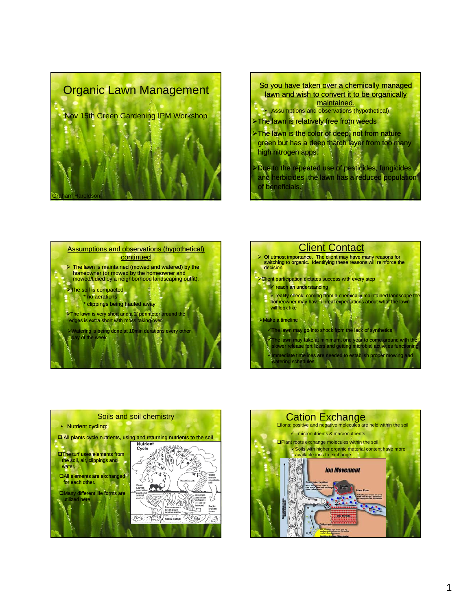









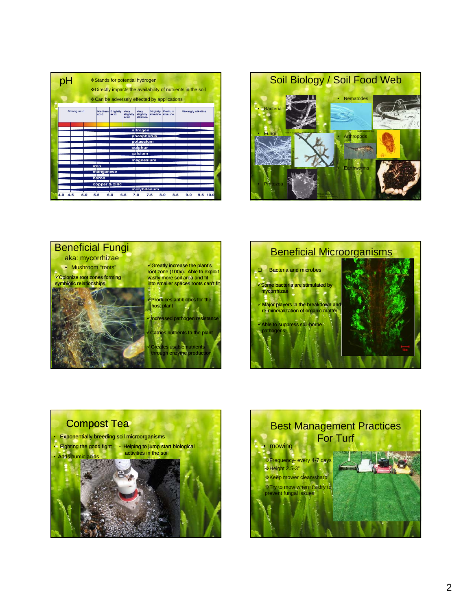|                    | ❖ Stands for potential hydrogen<br>❖ Can be adversely effected by applications |                  |                          |                                     |                      |                    | * Directly impacts the availability of nutrients in the soil |
|--------------------|--------------------------------------------------------------------------------|------------------|--------------------------|-------------------------------------|----------------------|--------------------|--------------------------------------------------------------|
| <b>Strong acid</b> | Medium<br>acid                                                                 | Slightly<br>acid | Very<br>slightly<br>acid | <b>Very</b><br>slightly<br>alkaline | Slightly<br>alkaline | Medium<br>alkaline | <b>Strongly alkaline</b>                                     |
|                    |                                                                                |                  |                          | nitrogen                            |                      |                    |                                                              |
|                    |                                                                                |                  |                          |                                     |                      |                    |                                                              |
|                    |                                                                                |                  |                          | phosphorus                          |                      |                    |                                                              |
|                    |                                                                                |                  |                          | potassium                           |                      |                    |                                                              |
|                    |                                                                                |                  |                          | sulphur                             |                      |                    |                                                              |
|                    |                                                                                |                  |                          | calcium                             |                      |                    |                                                              |
|                    |                                                                                |                  |                          |                                     |                      |                    |                                                              |
|                    |                                                                                |                  |                          | magnesium                           |                      |                    |                                                              |
|                    | iron                                                                           |                  |                          |                                     |                      |                    |                                                              |
|                    | manganese                                                                      |                  |                          |                                     |                      |                    |                                                              |
|                    |                                                                                |                  |                          |                                     |                      |                    |                                                              |
|                    | boron                                                                          |                  |                          |                                     |                      |                    |                                                              |
|                    | copper & zinc                                                                  |                  |                          |                                     |                      |                    |                                                              |
|                    |                                                                                |                  |                          | molybdenum                          |                      |                    |                                                              |
|                    |                                                                                |                  |                          |                                     |                      |                    |                                                              |









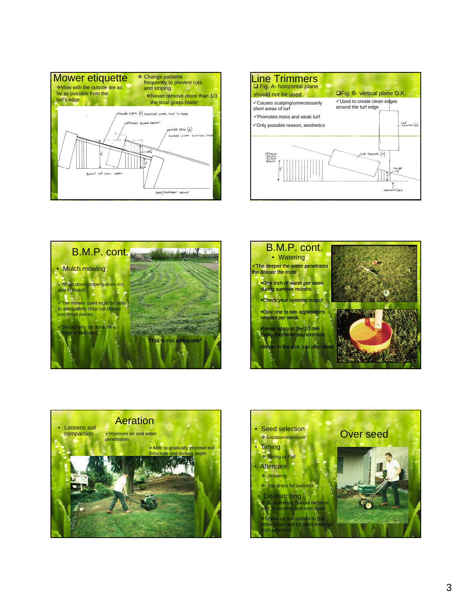